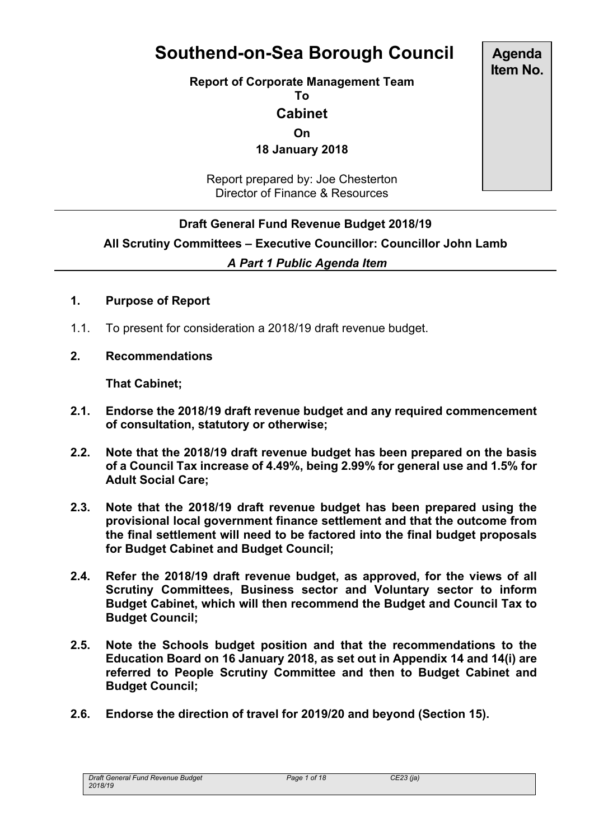# **Southend-on-Sea Borough Council**

**Report of Corporate Management Team**

**To**

**Cabinet**

**On**

**18 January 2018**

Report prepared by: Joe Chesterton Director of Finance & Resources

## **Draft General Fund Revenue Budget 2018/19**

**All Scrutiny Committees – Executive Councillor: Councillor John Lamb**

#### *A Part 1 Public Agenda Item*

#### **1. Purpose of Report**

- 1.1. To present for consideration a 2018/19 draft revenue budget.
- **2. Recommendations**

**That Cabinet;**

- **2.1. Endorse the 2018/19 draft revenue budget and any required commencement of consultation, statutory or otherwise;**
- **2.2. Note that the 2018/19 draft revenue budget has been prepared on the basis of a Council Tax increase of 4.49%, being 2.99% for general use and 1.5% for Adult Social Care;**
- **2.3. Note that the 2018/19 draft revenue budget has been prepared using the provisional local government finance settlement and that the outcome from the final settlement will need to be factored into the final budget proposals for Budget Cabinet and Budget Council;**
- **2.4. Refer the 2018/19 draft revenue budget, as approved, for the views of all Scrutiny Committees, Business sector and Voluntary sector to inform Budget Cabinet, which will then recommend the Budget and Council Tax to Budget Council;**
- **2.5. Note the Schools budget position and that the recommendations to the Education Board on 16 January 2018, as set out in Appendix 14 and 14(i) are referred to People Scrutiny Committee and then to Budget Cabinet and Budget Council;**
- **2.6. Endorse the direction of travel for 2019/20 and beyond (Section 15).**

*Draft General Fund Revenue Budget 2018/19*

**Agenda Item No.**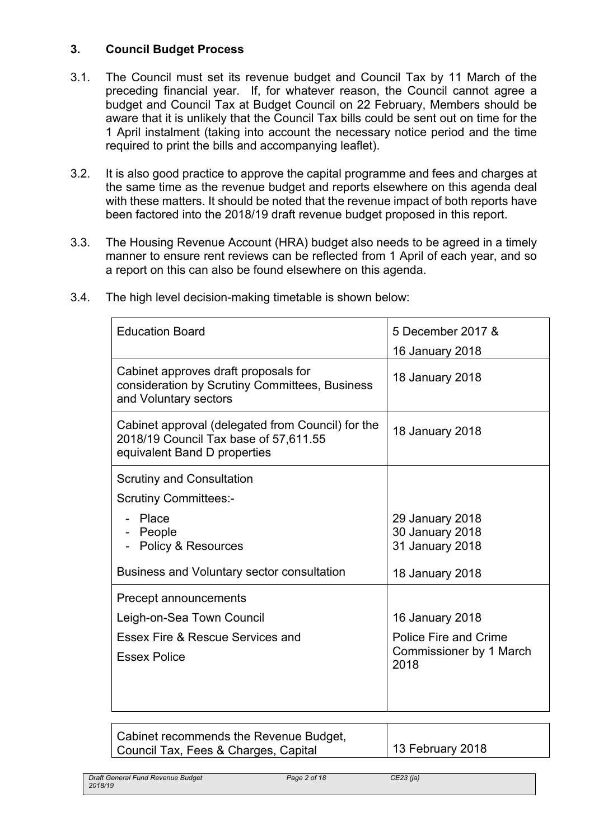# **3. Council Budget Process**

- 3.1. The Council must set its revenue budget and Council Tax by 11 March of the preceding financial year. If, for whatever reason, the Council cannot agree a budget and Council Tax at Budget Council on 22 February, Members should be aware that it is unlikely that the Council Tax bills could be sent out on time for the 1 April instalment (taking into account the necessary notice period and the time required to print the bills and accompanying leaflet).
- 3.2. It is also good practice to approve the capital programme and fees and charges at the same time as the revenue budget and reports elsewhere on this agenda deal with these matters. It should be noted that the revenue impact of both reports have been factored into the 2018/19 draft revenue budget proposed in this report.
- 3.3. The Housing Revenue Account (HRA) budget also needs to be agreed in a timely manner to ensure rent reviews can be reflected from 1 April of each year, and so a report on this can also be found elsewhere on this agenda.

| <b>Education Board</b>                                                                                                                                        | 5 December 2017 &                                                           |
|---------------------------------------------------------------------------------------------------------------------------------------------------------------|-----------------------------------------------------------------------------|
| Cabinet approves draft proposals for<br>consideration by Scrutiny Committees, Business<br>and Voluntary sectors                                               | 16 January 2018<br>18 January 2018                                          |
| Cabinet approval (delegated from Council) for the<br>2018/19 Council Tax base of 57,611.55<br>equivalent Band D properties                                    | 18 January 2018                                                             |
| <b>Scrutiny and Consultation</b><br><b>Scrutiny Committees:-</b><br>- Place<br>- People<br>- Policy & Resources<br>Business and Voluntary sector consultation | 29 January 2018<br>30 January 2018<br>31 January 2018<br>18 January 2018    |
| Precept announcements<br>Leigh-on-Sea Town Council<br>Essex Fire & Rescue Services and<br><b>Essex Police</b>                                                 | 16 January 2018<br>Police Fire and Crime<br>Commissioner by 1 March<br>2018 |

3.4. The high level decision-making timetable is shown below:

| Cabinet recommends the Revenue Budget, |                          |
|----------------------------------------|--------------------------|
| Council Tax, Fees & Charges, Capital   | $\vert$ 13 February 2018 |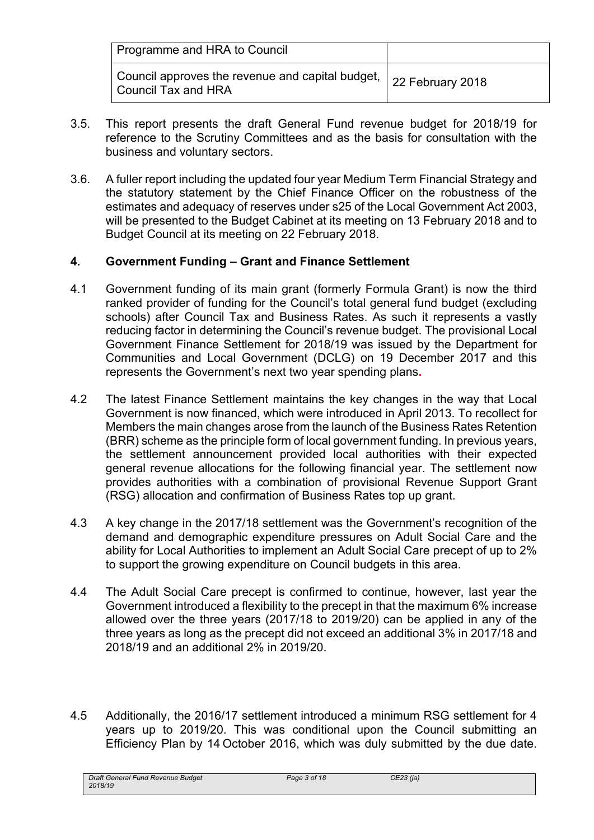| Programme and HRA to Council                                                                      |  |
|---------------------------------------------------------------------------------------------------|--|
| . Council approves the revenue and capital budget, $\mid$ 22 February 2018<br>Council Tax and HRA |  |

- 3.5. This report presents the draft General Fund revenue budget for 2018/19 for reference to the Scrutiny Committees and as the basis for consultation with the business and voluntary sectors.
- 3.6. A fuller report including the updated four year Medium Term Financial Strategy and the statutory statement by the Chief Finance Officer on the robustness of the estimates and adequacy of reserves under s25 of the Local Government Act 2003, will be presented to the Budget Cabinet at its meeting on 13 February 2018 and to Budget Council at its meeting on 22 February 2018.

## **4. Government Funding – Grant and Finance Settlement**

- 4.1 Government funding of its main grant (formerly Formula Grant) is now the third ranked provider of funding for the Council's total general fund budget (excluding schools) after Council Tax and Business Rates. As such it represents a vastly reducing factor in determining the Council's revenue budget. The provisional Local Government Finance Settlement for 2018/19 was issued by the Department for Communities and Local Government (DCLG) on 19 December 2017 and this represents the Government's next two year spending plans**.**
- 4.2 The latest Finance Settlement maintains the key changes in the way that Local Government is now financed, which were introduced in April 2013. To recollect for Members the main changes arose from the launch of the Business Rates Retention (BRR) scheme as the principle form of local government funding. In previous years, the settlement announcement provided local authorities with their expected general revenue allocations for the following financial year. The settlement now provides authorities with a combination of provisional Revenue Support Grant (RSG) allocation and confirmation of Business Rates top up grant.
- 4.3 A key change in the 2017/18 settlement was the Government's recognition of the demand and demographic expenditure pressures on Adult Social Care and the ability for Local Authorities to implement an Adult Social Care precept of up to 2% to support the growing expenditure on Council budgets in this area.
- 4.4 The Adult Social Care precept is confirmed to continue, however, last year the Government introduced a flexibility to the precept in that the maximum 6% increase allowed over the three years (2017/18 to 2019/20) can be applied in any of the three years as long as the precept did not exceed an additional 3% in 2017/18 and 2018/19 and an additional 2% in 2019/20.
- 4.5 Additionally, the 2016/17 settlement introduced a minimum RSG settlement for 4 years up to 2019/20. This was conditional upon the Council submitting an Efficiency Plan by 14 October 2016, which was duly submitted by the due date.

*Draft General Fund Revenue Budget 2018/19*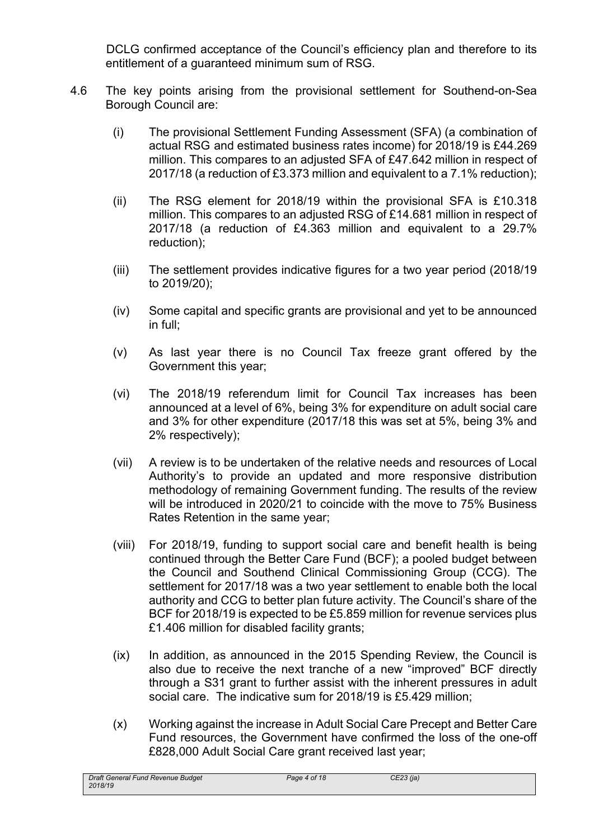DCLG confirmed acceptance of the Council's efficiency plan and therefore to its entitlement of a guaranteed minimum sum of RSG.

- 4.6 The key points arising from the provisional settlement for Southend-on-Sea Borough Council are:
	- (i) The provisional Settlement Funding Assessment (SFA) (a combination of actual RSG and estimated business rates income) for 2018/19 is £44.269 million. This compares to an adjusted SFA of £47.642 million in respect of 2017/18 (a reduction of £3.373 million and equivalent to a 7.1% reduction);
	- (ii) The RSG element for 2018/19 within the provisional SFA is £10.318 million. This compares to an adjusted RSG of £14.681 million in respect of 2017/18 (a reduction of £4.363 million and equivalent to a 29.7% reduction);
	- (iii) The settlement provides indicative figures for a two year period (2018/19 to 2019/20);
	- (iv) Some capital and specific grants are provisional and yet to be announced in full;
	- (v) As last year there is no Council Tax freeze grant offered by the Government this year;
	- (vi) The 2018/19 referendum limit for Council Tax increases has been announced at a level of 6%, being 3% for expenditure on adult social care and 3% for other expenditure (2017/18 this was set at 5%, being 3% and 2% respectively);
	- (vii) A review is to be undertaken of the relative needs and resources of Local Authority's to provide an updated and more responsive distribution methodology of remaining Government funding. The results of the review will be introduced in 2020/21 to coincide with the move to 75% Business Rates Retention in the same year;
	- (viii) For 2018/19, funding to support social care and benefit health is being continued through the Better Care Fund (BCF); a pooled budget between the Council and Southend Clinical Commissioning Group (CCG). The settlement for 2017/18 was a two year settlement to enable both the local authority and CCG to better plan future activity. The Council's share of the BCF for 2018/19 is expected to be £5.859 million for revenue services plus £1.406 million for disabled facility grants;
	- (ix) In addition, as announced in the 2015 Spending Review, the Council is also due to receive the next tranche of a new "improved" BCF directly through a S31 grant to further assist with the inherent pressures in adult social care. The indicative sum for 2018/19 is £5.429 million;
	- (x) Working against the increase in Adult Social Care Precept and Better Care Fund resources, the Government have confirmed the loss of the one-off £828,000 Adult Social Care grant received last year: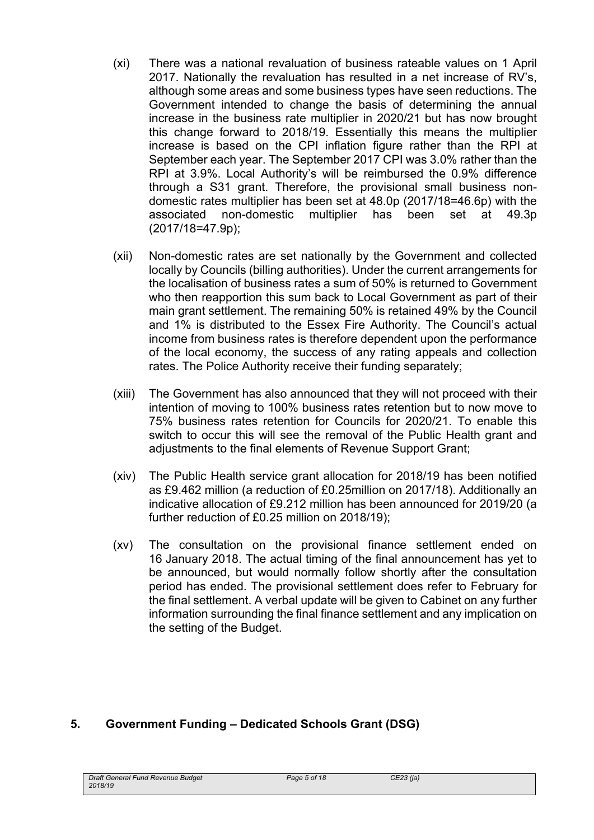- (xi) There was a national revaluation of business rateable values on 1 April 2017. Nationally the revaluation has resulted in a net increase of RV's, although some areas and some business types have seen reductions. The Government intended to change the basis of determining the annual increase in the business rate multiplier in 2020/21 but has now brought this change forward to 2018/19. Essentially this means the multiplier increase is based on the CPI inflation figure rather than the RPI at September each year. The September 2017 CPI was 3.0% rather than the RPI at 3.9%. Local Authority's will be reimbursed the 0.9% difference through a S31 grant. Therefore, the provisional small business nondomestic rates multiplier has been set at 48.0p (2017/18=46.6p) with the associated non-domestic multiplier has been set at 49.3p (2017/18=47.9p);
- (xii) Non-domestic rates are set nationally by the Government and collected locally by Councils (billing authorities). Under the current arrangements for the localisation of business rates a sum of 50% is returned to Government who then reapportion this sum back to Local Government as part of their main grant settlement. The remaining 50% is retained 49% by the Council and 1% is distributed to the Essex Fire Authority. The Council's actual income from business rates is therefore dependent upon the performance of the local economy, the success of any rating appeals and collection rates. The Police Authority receive their funding separately;
- (xiii) The Government has also announced that they will not proceed with their intention of moving to 100% business rates retention but to now move to 75% business rates retention for Councils for 2020/21. To enable this switch to occur this will see the removal of the Public Health grant and adjustments to the final elements of Revenue Support Grant;
- (xiv) The Public Health service grant allocation for 2018/19 has been notified as £9.462 million (a reduction of £0.25million on 2017/18). Additionally an indicative allocation of £9.212 million has been announced for 2019/20 (a further reduction of £0.25 million on 2018/19);
- (xv) The consultation on the provisional finance settlement ended on 16 January 2018. The actual timing of the final announcement has yet to be announced, but would normally follow shortly after the consultation period has ended. The provisional settlement does refer to February for the final settlement. A verbal update will be given to Cabinet on any further information surrounding the final finance settlement and any implication on the setting of the Budget.

## **5. Government Funding – Dedicated Schools Grant (DSG)**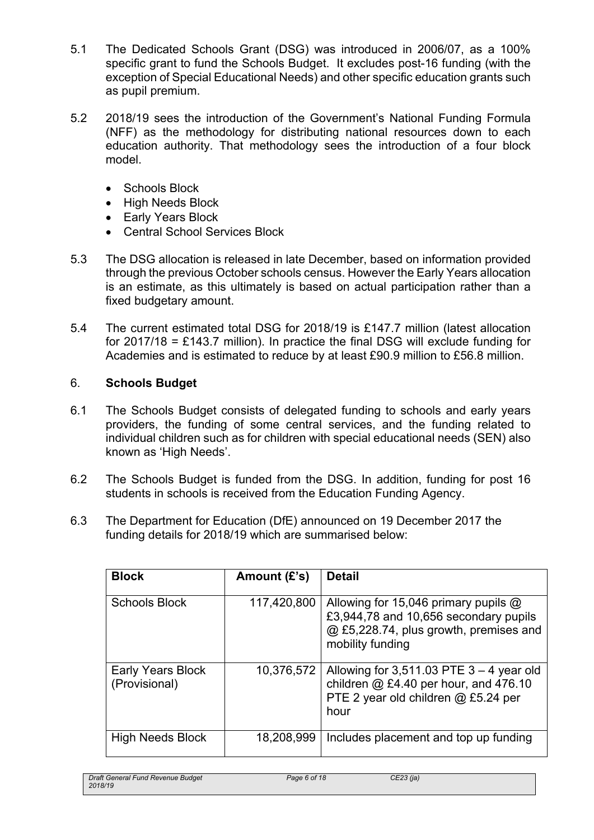- 5.1 The Dedicated Schools Grant (DSG) was introduced in 2006/07, as a 100% specific grant to fund the Schools Budget. It excludes post-16 funding (with the exception of Special Educational Needs) and other specific education grants such as pupil premium.
- 5.2 2018/19 sees the introduction of the Government's National Funding Formula (NFF) as the methodology for distributing national resources down to each education authority. That methodology sees the introduction of a four block model.
	- Schools Block
	- High Needs Block
	- Early Years Block
	- Central School Services Block
- 5.3 The DSG allocation is released in late December, based on information provided through the previous October schools census. However the Early Years allocation is an estimate, as this ultimately is based on actual participation rather than a fixed budgetary amount.
- 5.4 The current estimated total DSG for 2018/19 is £147.7 million (latest allocation for 2017/18 = £143.7 million). In practice the final DSG will exclude funding for Academies and is estimated to reduce by at least £90.9 million to £56.8 million.

## 6. **Schools Budget**

- 6.1 The Schools Budget consists of delegated funding to schools and early years providers, the funding of some central services, and the funding related to individual children such as for children with special educational needs (SEN) also known as 'High Needs'.
- 6.2 The Schools Budget is funded from the DSG. In addition, funding for post 16 students in schools is received from the Education Funding Agency.
- 6.3 The Department for Education (DfE) announced on 19 December 2017 the funding details for 2018/19 which are summarised below:

| <b>Block</b>                       | Amount $(E's)$ | <b>Detail</b>                                                                                                                                      |
|------------------------------------|----------------|----------------------------------------------------------------------------------------------------------------------------------------------------|
| <b>Schools Block</b>               | 117,420,800    | Allowing for 15,046 primary pupils $\omega$<br>£3,944,78 and 10,656 secondary pupils<br>@ £5,228.74, plus growth, premises and<br>mobility funding |
| Early Years Block<br>(Provisional) | 10,376,572     | Allowing for $3,511.03$ PTE $3 - 4$ year old<br>children $@$ £4.40 per hour, and 476.10<br>PTE 2 year old children @ £5.24 per<br>hour             |
| <b>High Needs Block</b>            | 18,208,999     | Includes placement and top up funding                                                                                                              |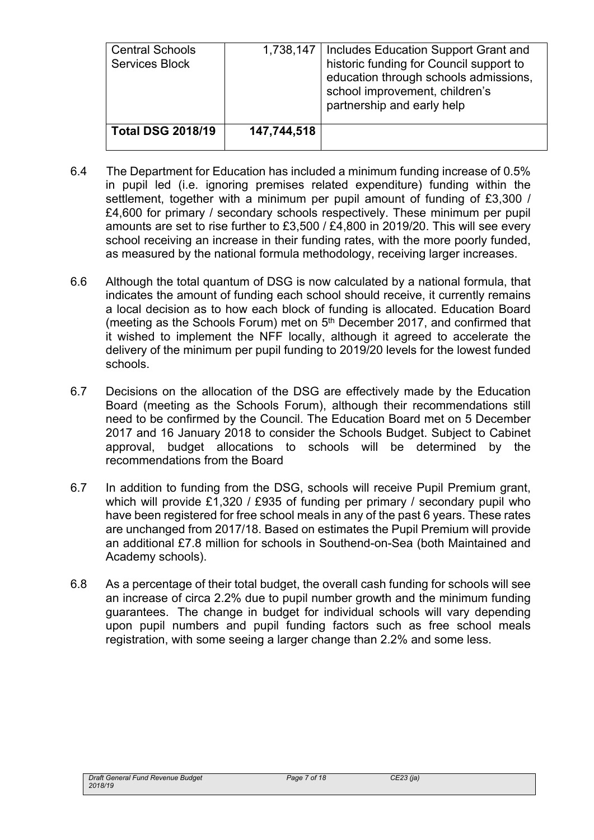| <b>Central Schools</b><br><b>Services Block</b> |             | 1,738,147   Includes Education Support Grant and<br>historic funding for Council support to<br>education through schools admissions,<br>school improvement, children's<br>partnership and early help |
|-------------------------------------------------|-------------|------------------------------------------------------------------------------------------------------------------------------------------------------------------------------------------------------|
| <b>Total DSG 2018/19</b>                        | 147,744,518 |                                                                                                                                                                                                      |

- 6.4 The Department for Education has included a minimum funding increase of 0.5% in pupil led (i.e. ignoring premises related expenditure) funding within the settlement, together with a minimum per pupil amount of funding of £3,300 / £4,600 for primary / secondary schools respectively. These minimum per pupil amounts are set to rise further to £3,500 / £4,800 in 2019/20. This will see every school receiving an increase in their funding rates, with the more poorly funded, as measured by the national formula methodology, receiving larger increases.
- 6.6 Although the total quantum of DSG is now calculated by a national formula, that indicates the amount of funding each school should receive, it currently remains a local decision as to how each block of funding is allocated. Education Board (meeting as the Schools Forum) met on 5<sup>th</sup> December 2017, and confirmed that it wished to implement the NFF locally, although it agreed to accelerate the delivery of the minimum per pupil funding to 2019/20 levels for the lowest funded schools.
- 6.7 Decisions on the allocation of the DSG are effectively made by the Education Board (meeting as the Schools Forum), although their recommendations still need to be confirmed by the Council. The Education Board met on 5 December 2017 and 16 January 2018 to consider the Schools Budget. Subject to Cabinet approval, budget allocations to schools will be determined by the recommendations from the Board
- 6.7 In addition to funding from the DSG, schools will receive Pupil Premium grant, which will provide  $£1,320$  / £935 of funding per primary / secondary pupil who have been registered for free school meals in any of the past 6 years. These rates are unchanged from 2017/18. Based on estimates the Pupil Premium will provide an additional £7.8 million for schools in Southend-on-Sea (both Maintained and Academy schools).
- 6.8 As a percentage of their total budget, the overall cash funding for schools will see an increase of circa 2.2% due to pupil number growth and the minimum funding guarantees. The change in budget for individual schools will vary depending upon pupil numbers and pupil funding factors such as free school meals registration, with some seeing a larger change than 2.2% and some less.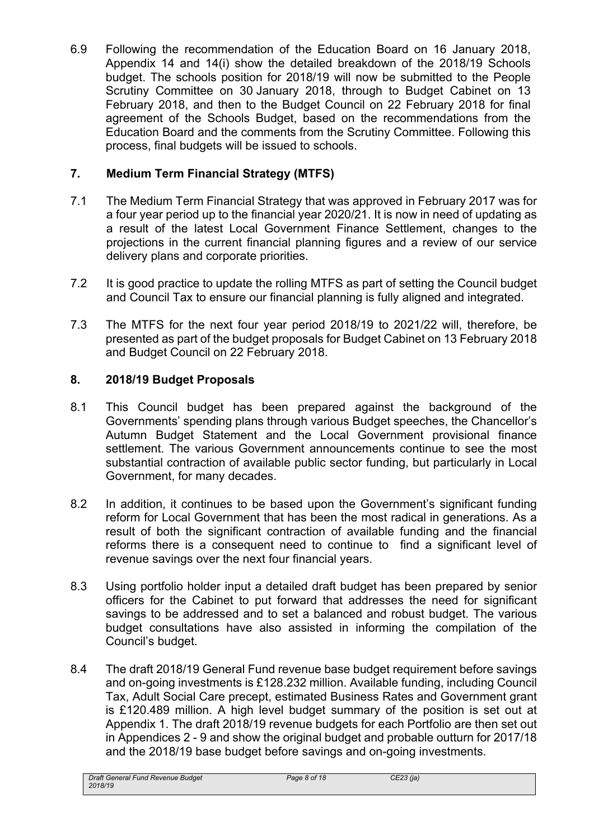6.9 Following the recommendation of the Education Board on 16 January 2018, Appendix 14 and 14(i) show the detailed breakdown of the 2018/19 Schools budget. The schools position for 2018/19 will now be submitted to the People Scrutiny Committee on 30 January 2018, through to Budget Cabinet on 13 February 2018, and then to the Budget Council on 22 February 2018 for final agreement of the Schools Budget, based on the recommendations from the Education Board and the comments from the Scrutiny Committee. Following this process, final budgets will be issued to schools.

# **7. Medium Term Financial Strategy (MTFS)**

- 7.1 The Medium Term Financial Strategy that was approved in February 2017 was for a four year period up to the financial year 2020/21. It is now in need of updating as a result of the latest Local Government Finance Settlement, changes to the projections in the current financial planning figures and a review of our service delivery plans and corporate priorities.
- 7.2 It is good practice to update the rolling MTFS as part of setting the Council budget and Council Tax to ensure our financial planning is fully aligned and integrated.
- 7.3 The MTFS for the next four year period 2018/19 to 2021/22 will, therefore, be presented as part of the budget proposals for Budget Cabinet on 13 February 2018 and Budget Council on 22 February 2018.

# **8. 2018/19 Budget Proposals**

- 8.1 This Council budget has been prepared against the background of the Governments' spending plans through various Budget speeches, the Chancellor's Autumn Budget Statement and the Local Government provisional finance settlement. The various Government announcements continue to see the most substantial contraction of available public sector funding, but particularly in Local Government, for many decades.
- 8.2 In addition, it continues to be based upon the Government's significant funding reform for Local Government that has been the most radical in generations. As a result of both the significant contraction of available funding and the financial reforms there is a consequent need to continue to find a significant level of revenue savings over the next four financial years.
- 8.3 Using portfolio holder input a detailed draft budget has been prepared by senior officers for the Cabinet to put forward that addresses the need for significant savings to be addressed and to set a balanced and robust budget. The various budget consultations have also assisted in informing the compilation of the Council's budget.
- 8.4 The draft 2018/19 General Fund revenue base budget requirement before savings and on-going investments is £128.232 million. Available funding, including Council Tax, Adult Social Care precept, estimated Business Rates and Government grant is £120.489 million. A high level budget summary of the position is set out at Appendix 1. The draft 2018/19 revenue budgets for each Portfolio are then set out in Appendices 2 - 9 and show the original budget and probable outturn for 2017/18 and the 2018/19 base budget before savings and on-going investments.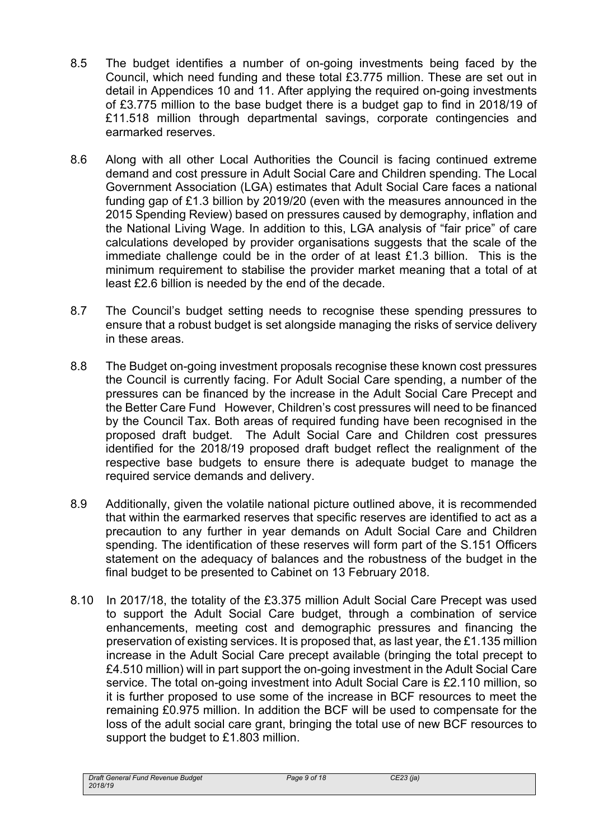- 8.5 The budget identifies a number of on-going investments being faced by the Council, which need funding and these total £3.775 million. These are set out in detail in Appendices 10 and 11. After applying the required on-going investments of £3.775 million to the base budget there is a budget gap to find in 2018/19 of £11.518 million through departmental savings, corporate contingencies and earmarked reserves.
- 8.6 Along with all other Local Authorities the Council is facing continued extreme demand and cost pressure in Adult Social Care and Children spending. The Local Government Association (LGA) estimates that Adult Social Care faces a national funding gap of £1.3 billion by 2019/20 (even with the measures announced in the 2015 Spending Review) based on pressures caused by demography, inflation and the National Living Wage. In addition to this, LGA analysis of "fair price" of care calculations developed by provider organisations suggests that the scale of the immediate challenge could be in the order of at least £1.3 billion. This is the minimum requirement to stabilise the provider market meaning that a total of at least £2.6 billion is needed by the end of the decade.
- 8.7 The Council's budget setting needs to recognise these spending pressures to ensure that a robust budget is set alongside managing the risks of service delivery in these areas.
- 8.8 The Budget on-going investment proposals recognise these known cost pressures the Council is currently facing. For Adult Social Care spending, a number of the pressures can be financed by the increase in the Adult Social Care Precept and the Better Care Fund However, Children's cost pressures will need to be financed by the Council Tax. Both areas of required funding have been recognised in the proposed draft budget. The Adult Social Care and Children cost pressures identified for the 2018/19 proposed draft budget reflect the realignment of the respective base budgets to ensure there is adequate budget to manage the required service demands and delivery.
- 8.9 Additionally, given the volatile national picture outlined above, it is recommended that within the earmarked reserves that specific reserves are identified to act as a precaution to any further in year demands on Adult Social Care and Children spending. The identification of these reserves will form part of the S.151 Officers statement on the adequacy of balances and the robustness of the budget in the final budget to be presented to Cabinet on 13 February 2018.
- 8.10 In 2017/18, the totality of the £3.375 million Adult Social Care Precept was used to support the Adult Social Care budget, through a combination of service enhancements, meeting cost and demographic pressures and financing the preservation of existing services. It is proposed that, as last year, the £1.135 million increase in the Adult Social Care precept available (bringing the total precept to £4.510 million) will in part support the on-going investment in the Adult Social Care service. The total on-going investment into Adult Social Care is £2.110 million, so it is further proposed to use some of the increase in BCF resources to meet the remaining £0.975 million. In addition the BCF will be used to compensate for the loss of the adult social care grant, bringing the total use of new BCF resources to support the budget to £1.803 million.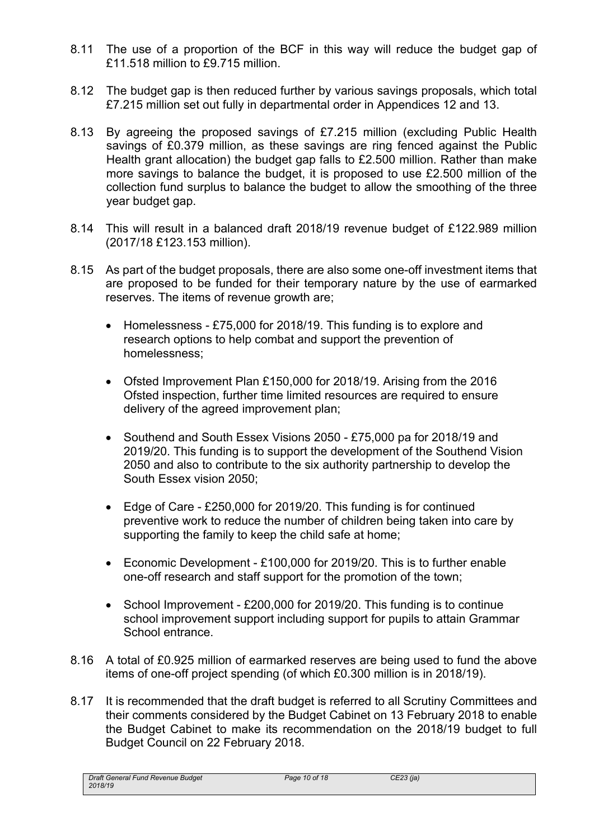- 8.11 The use of a proportion of the BCF in this way will reduce the budget gap of £11.518 million to £9.715 million.
- 8.12 The budget gap is then reduced further by various savings proposals, which total £7.215 million set out fully in departmental order in Appendices 12 and 13.
- 8.13 By agreeing the proposed savings of £7.215 million (excluding Public Health savings of £0.379 million, as these savings are ring fenced against the Public Health grant allocation) the budget gap falls to £2.500 million. Rather than make more savings to balance the budget, it is proposed to use £2.500 million of the collection fund surplus to balance the budget to allow the smoothing of the three year budget gap.
- 8.14 This will result in a balanced draft 2018/19 revenue budget of £122.989 million (2017/18 £123.153 million).
- 8.15 As part of the budget proposals, there are also some one-off investment items that are proposed to be funded for their temporary nature by the use of earmarked reserves. The items of revenue growth are;
	- Homelessness £75,000 for 2018/19. This funding is to explore and research options to help combat and support the prevention of homelessness;
	- Ofsted Improvement Plan £150,000 for 2018/19. Arising from the 2016 Ofsted inspection, further time limited resources are required to ensure delivery of the agreed improvement plan;
	- Southend and South Essex Visions 2050 £75,000 pa for 2018/19 and 2019/20. This funding is to support the development of the Southend Vision 2050 and also to contribute to the six authority partnership to develop the South Essex vision 2050;
	- Edge of Care £250,000 for 2019/20. This funding is for continued preventive work to reduce the number of children being taken into care by supporting the family to keep the child safe at home;
	- Economic Development £100,000 for 2019/20. This is to further enable one-off research and staff support for the promotion of the town;
	- School Improvement £200,000 for 2019/20. This funding is to continue school improvement support including support for pupils to attain Grammar School entrance.
- 8.16 A total of £0.925 million of earmarked reserves are being used to fund the above items of one-off project spending (of which £0.300 million is in 2018/19).
- 8.17 It is recommended that the draft budget is referred to all Scrutiny Committees and their comments considered by the Budget Cabinet on 13 February 2018 to enable the Budget Cabinet to make its recommendation on the 2018/19 budget to full Budget Council on 22 February 2018.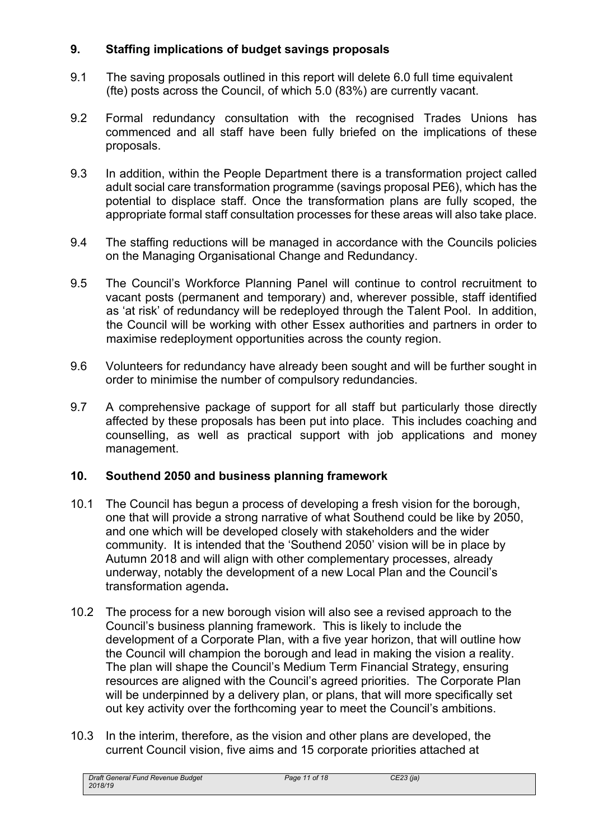# **9. Staffing implications of budget savings proposals**

- 9.1 The saving proposals outlined in this report will delete 6.0 full time equivalent (fte) posts across the Council, of which 5.0 (83%) are currently vacant.
- 9.2 Formal redundancy consultation with the recognised Trades Unions has commenced and all staff have been fully briefed on the implications of these proposals.
- 9.3 In addition, within the People Department there is a transformation project called adult social care transformation programme (savings proposal PE6), which has the potential to displace staff. Once the transformation plans are fully scoped, the appropriate formal staff consultation processes for these areas will also take place.
- 9.4 The staffing reductions will be managed in accordance with the Councils policies on the Managing Organisational Change and Redundancy.
- 9.5 The Council's Workforce Planning Panel will continue to control recruitment to vacant posts (permanent and temporary) and, wherever possible, staff identified as 'at risk' of redundancy will be redeployed through the Talent Pool. In addition, the Council will be working with other Essex authorities and partners in order to maximise redeployment opportunities across the county region.
- 9.6 Volunteers for redundancy have already been sought and will be further sought in order to minimise the number of compulsory redundancies.
- 9.7 A comprehensive package of support for all staff but particularly those directly affected by these proposals has been put into place. This includes coaching and counselling, as well as practical support with job applications and money management.

## **10. Southend 2050 and business planning framework**

- 10.1 The Council has begun a process of developing a fresh vision for the borough, one that will provide a strong narrative of what Southend could be like by 2050, and one which will be developed closely with stakeholders and the wider community. It is intended that the 'Southend 2050' vision will be in place by Autumn 2018 and will align with other complementary processes, already underway, notably the development of a new Local Plan and the Council's transformation agenda**.**
- 10.2 The process for a new borough vision will also see a revised approach to the Council's business planning framework. This is likely to include the development of a Corporate Plan, with a five year horizon, that will outline how the Council will champion the borough and lead in making the vision a reality. The plan will shape the Council's Medium Term Financial Strategy, ensuring resources are aligned with the Council's agreed priorities. The Corporate Plan will be underpinned by a delivery plan, or plans, that will more specifically set out key activity over the forthcoming year to meet the Council's ambitions.
- 10.3 In the interim, therefore, as the vision and other plans are developed, the current Council vision, five aims and 15 corporate priorities attached at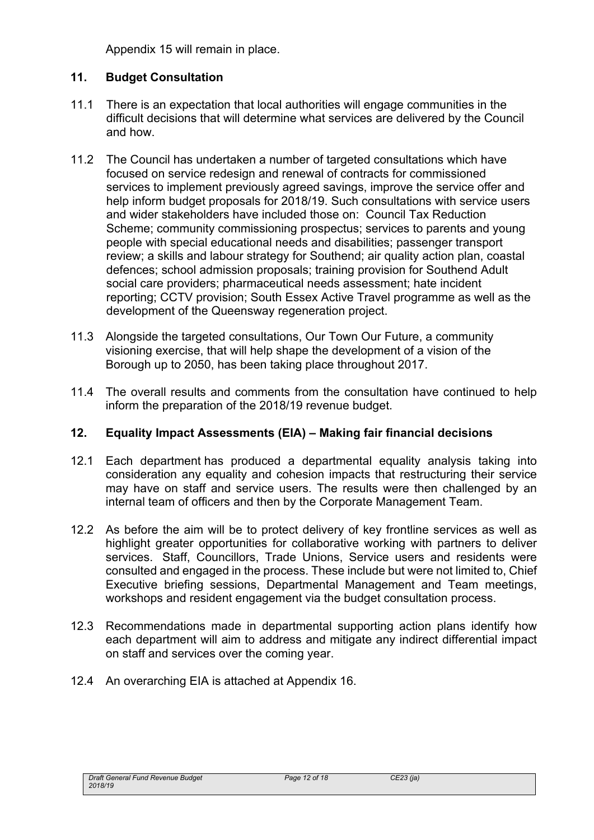Appendix 15 will remain in place.

# **11. Budget Consultation**

- 11.1 There is an expectation that local authorities will engage communities in the difficult decisions that will determine what services are delivered by the Council and how.
- 11.2 The Council has undertaken a number of targeted consultations which have focused on service redesign and renewal of contracts for commissioned services to implement previously agreed savings, improve the service offer and help inform budget proposals for 2018/19. Such consultations with service users and wider stakeholders have included those on: Council Tax Reduction Scheme; community commissioning prospectus; services to parents and young people with special educational needs and disabilities; passenger transport review; a skills and labour strategy for Southend; air quality action plan, coastal defences; school admission proposals; training provision for Southend Adult social care providers; pharmaceutical needs assessment; hate incident reporting; CCTV provision; South Essex Active Travel programme as well as the development of the Queensway regeneration project.
- 11.3 Alongside the targeted consultations, Our Town Our Future, a community visioning exercise, that will help shape the development of a vision of the Borough up to 2050, has been taking place throughout 2017.
- 11.4 The overall results and comments from the consultation have continued to help inform the preparation of the 2018/19 revenue budget.

# **12. Equality Impact Assessments (EIA) – Making fair financial decisions**

- 12.1 Each department has produced a departmental equality analysis taking into consideration any equality and cohesion impacts that restructuring their service may have on staff and service users. The results were then challenged by an internal team of officers and then by the Corporate Management Team.
- 12.2 As before the aim will be to protect delivery of key frontline services as well as highlight greater opportunities for collaborative working with partners to deliver services. Staff, Councillors, Trade Unions, Service users and residents were consulted and engaged in the process. These include but were not limited to, Chief Executive briefing sessions, Departmental Management and Team meetings, workshops and resident engagement via the budget consultation process.
- 12.3 Recommendations made in departmental supporting action plans identify how each department will aim to address and mitigate any indirect differential impact on staff and services over the coming year.
- 12.4 An overarching EIA is attached at Appendix 16.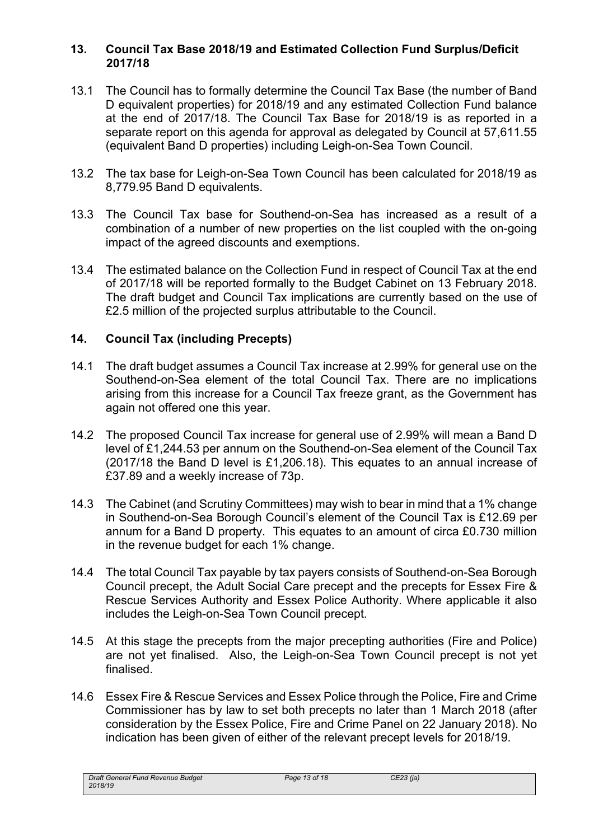#### **13. Council Tax Base 2018/19 and Estimated Collection Fund Surplus/Deficit 2017/18**

- 13.1 The Council has to formally determine the Council Tax Base (the number of Band D equivalent properties) for 2018/19 and any estimated Collection Fund balance at the end of 2017/18. The Council Tax Base for 2018/19 is as reported in a separate report on this agenda for approval as delegated by Council at 57,611.55 (equivalent Band D properties) including Leigh-on-Sea Town Council.
- 13.2 The tax base for Leigh-on-Sea Town Council has been calculated for 2018/19 as 8,779.95 Band D equivalents.
- 13.3 The Council Tax base for Southend-on-Sea has increased as a result of a combination of a number of new properties on the list coupled with the on-going impact of the agreed discounts and exemptions.
- 13.4 The estimated balance on the Collection Fund in respect of Council Tax at the end of 2017/18 will be reported formally to the Budget Cabinet on 13 February 2018. The draft budget and Council Tax implications are currently based on the use of £2.5 million of the projected surplus attributable to the Council.

## **14. Council Tax (including Precepts)**

- 14.1 The draft budget assumes a Council Tax increase at 2.99% for general use on the Southend-on-Sea element of the total Council Tax. There are no implications arising from this increase for a Council Tax freeze grant, as the Government has again not offered one this year.
- 14.2 The proposed Council Tax increase for general use of 2.99% will mean a Band D level of £1,244.53 per annum on the Southend-on-Sea element of the Council Tax (2017/18 the Band D level is £1,206.18). This equates to an annual increase of £37.89 and a weekly increase of 73p.
- 14.3 The Cabinet (and Scrutiny Committees) may wish to bear in mind that a 1% change in Southend-on-Sea Borough Council's element of the Council Tax is £12.69 per annum for a Band D property. This equates to an amount of circa £0.730 million in the revenue budget for each 1% change.
- 14.4 The total Council Tax payable by tax payers consists of Southend-on-Sea Borough Council precept, the Adult Social Care precept and the precepts for Essex Fire & Rescue Services Authority and Essex Police Authority. Where applicable it also includes the Leigh-on-Sea Town Council precept.
- 14.5 At this stage the precepts from the major precepting authorities (Fire and Police) are not yet finalised. Also, the Leigh-on-Sea Town Council precept is not yet finalised.
- 14.6 Essex Fire & Rescue Services and Essex Police through the Police, Fire and Crime Commissioner has by law to set both precepts no later than 1 March 2018 (after consideration by the Essex Police, Fire and Crime Panel on 22 January 2018). No indication has been given of either of the relevant precept levels for 2018/19.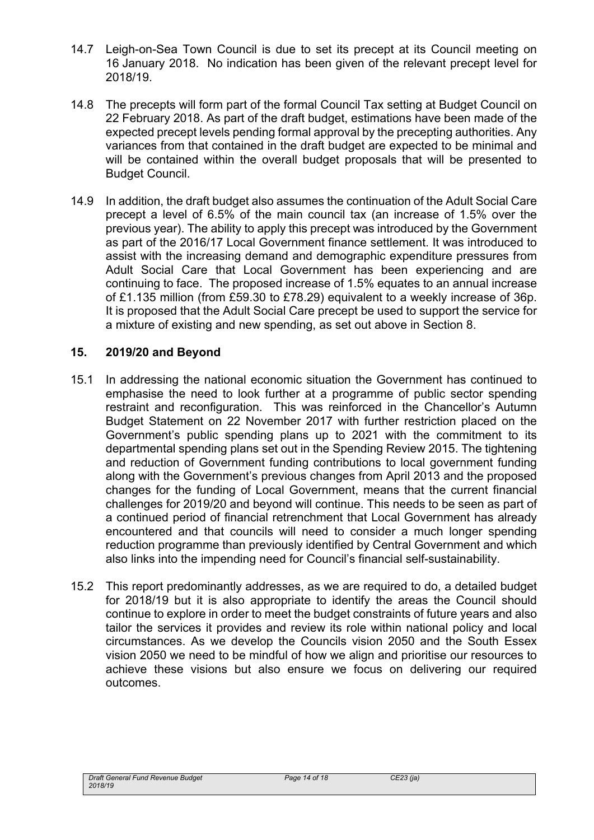- 14.7 Leigh-on-Sea Town Council is due to set its precept at its Council meeting on 16 January 2018. No indication has been given of the relevant precept level for 2018/19.
- 14.8 The precepts will form part of the formal Council Tax setting at Budget Council on 22 February 2018. As part of the draft budget, estimations have been made of the expected precept levels pending formal approval by the precepting authorities. Any variances from that contained in the draft budget are expected to be minimal and will be contained within the overall budget proposals that will be presented to Budget Council.
- 14.9 In addition, the draft budget also assumes the continuation of the Adult Social Care precept a level of 6.5% of the main council tax (an increase of 1.5% over the previous year). The ability to apply this precept was introduced by the Government as part of the 2016/17 Local Government finance settlement. It was introduced to assist with the increasing demand and demographic expenditure pressures from Adult Social Care that Local Government has been experiencing and are continuing to face. The proposed increase of 1.5% equates to an annual increase of £1.135 million (from £59.30 to £78.29) equivalent to a weekly increase of 36p. It is proposed that the Adult Social Care precept be used to support the service for a mixture of existing and new spending, as set out above in Section 8.

#### **15. 2019/20 and Beyond**

- 15.1 In addressing the national economic situation the Government has continued to emphasise the need to look further at a programme of public sector spending restraint and reconfiguration. This was reinforced in the Chancellor's Autumn Budget Statement on 22 November 2017 with further restriction placed on the Government's public spending plans up to 2021 with the commitment to its departmental spending plans set out in the Spending Review 2015. The tightening and reduction of Government funding contributions to local government funding along with the Government's previous changes from April 2013 and the proposed changes for the funding of Local Government, means that the current financial challenges for 2019/20 and beyond will continue. This needs to be seen as part of a continued period of financial retrenchment that Local Government has already encountered and that councils will need to consider a much longer spending reduction programme than previously identified by Central Government and which also links into the impending need for Council's financial self-sustainability.
- 15.2 This report predominantly addresses, as we are required to do, a detailed budget for 2018/19 but it is also appropriate to identify the areas the Council should continue to explore in order to meet the budget constraints of future years and also tailor the services it provides and review its role within national policy and local circumstances. As we develop the Councils vision 2050 and the South Essex vision 2050 we need to be mindful of how we align and prioritise our resources to achieve these visions but also ensure we focus on delivering our required outcomes.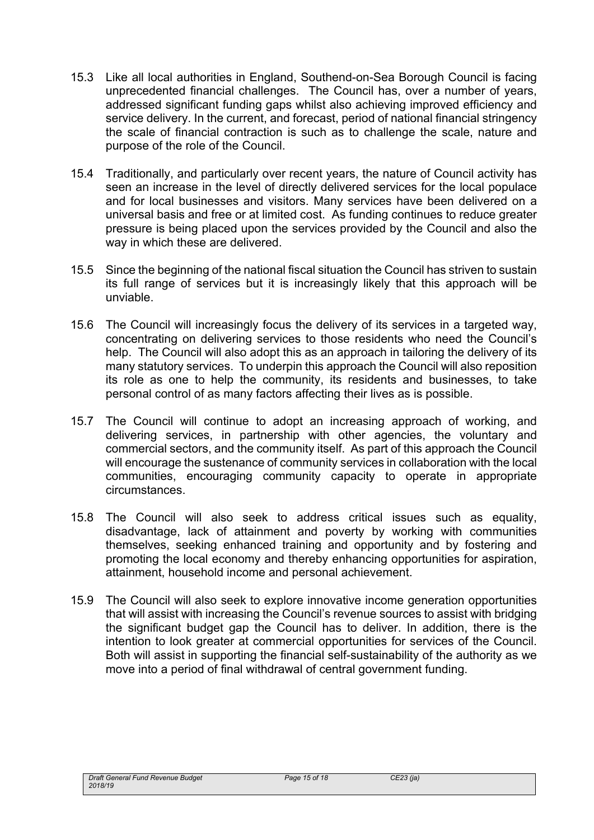- 15.3 Like all local authorities in England, Southend-on-Sea Borough Council is facing unprecedented financial challenges. The Council has, over a number of years, addressed significant funding gaps whilst also achieving improved efficiency and service delivery. In the current, and forecast, period of national financial stringency the scale of financial contraction is such as to challenge the scale, nature and purpose of the role of the Council.
- 15.4 Traditionally, and particularly over recent years, the nature of Council activity has seen an increase in the level of directly delivered services for the local populace and for local businesses and visitors. Many services have been delivered on a universal basis and free or at limited cost. As funding continues to reduce greater pressure is being placed upon the services provided by the Council and also the way in which these are delivered.
- 15.5 Since the beginning of the national fiscal situation the Council has striven to sustain its full range of services but it is increasingly likely that this approach will be unviable.
- 15.6 The Council will increasingly focus the delivery of its services in a targeted way, concentrating on delivering services to those residents who need the Council's help. The Council will also adopt this as an approach in tailoring the delivery of its many statutory services. To underpin this approach the Council will also reposition its role as one to help the community, its residents and businesses, to take personal control of as many factors affecting their lives as is possible.
- 15.7 The Council will continue to adopt an increasing approach of working, and delivering services, in partnership with other agencies, the voluntary and commercial sectors, and the community itself. As part of this approach the Council will encourage the sustenance of community services in collaboration with the local communities, encouraging community capacity to operate in appropriate circumstances.
- 15.8 The Council will also seek to address critical issues such as equality, disadvantage, lack of attainment and poverty by working with communities themselves, seeking enhanced training and opportunity and by fostering and promoting the local economy and thereby enhancing opportunities for aspiration, attainment, household income and personal achievement.
- 15.9 The Council will also seek to explore innovative income generation opportunities that will assist with increasing the Council's revenue sources to assist with bridging the significant budget gap the Council has to deliver. In addition, there is the intention to look greater at commercial opportunities for services of the Council. Both will assist in supporting the financial self-sustainability of the authority as we move into a period of final withdrawal of central government funding.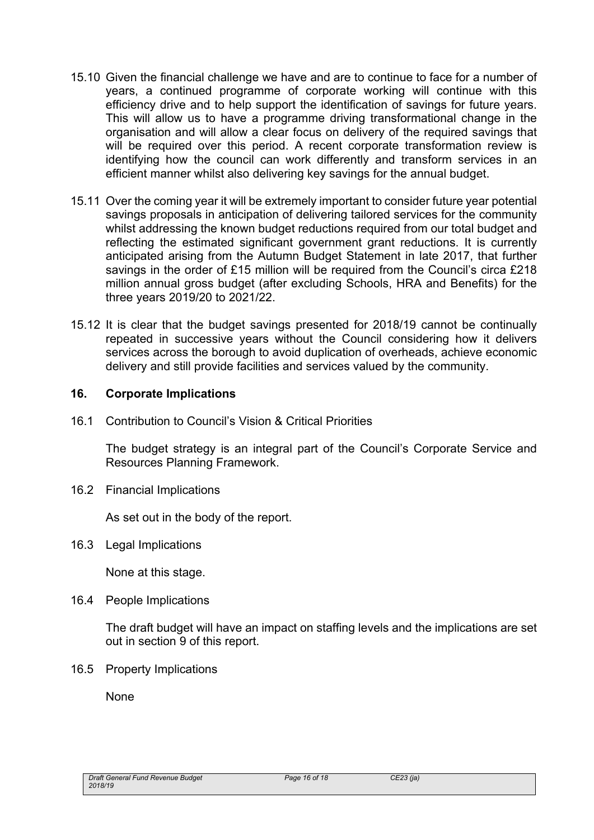- 15.10 Given the financial challenge we have and are to continue to face for a number of years, a continued programme of corporate working will continue with this efficiency drive and to help support the identification of savings for future years. This will allow us to have a programme driving transformational change in the organisation and will allow a clear focus on delivery of the required savings that will be required over this period. A recent corporate transformation review is identifying how the council can work differently and transform services in an efficient manner whilst also delivering key savings for the annual budget.
- 15.11 Over the coming year it will be extremely important to consider future year potential savings proposals in anticipation of delivering tailored services for the community whilst addressing the known budget reductions required from our total budget and reflecting the estimated significant government grant reductions. It is currently anticipated arising from the Autumn Budget Statement in late 2017, that further savings in the order of £15 million will be required from the Council's circa £218 million annual gross budget (after excluding Schools, HRA and Benefits) for the three years 2019/20 to 2021/22.
- 15.12 It is clear that the budget savings presented for 2018/19 cannot be continually repeated in successive years without the Council considering how it delivers services across the borough to avoid duplication of overheads, achieve economic delivery and still provide facilities and services valued by the community.

#### **16. Corporate Implications**

16.1 Contribution to Council's Vision & Critical Priorities

The budget strategy is an integral part of the Council's Corporate Service and Resources Planning Framework.

16.2 Financial Implications

As set out in the body of the report.

16.3 Legal Implications

None at this stage.

16.4 People Implications

The draft budget will have an impact on staffing levels and the implications are set out in section 9 of this report.

16.5 Property Implications

None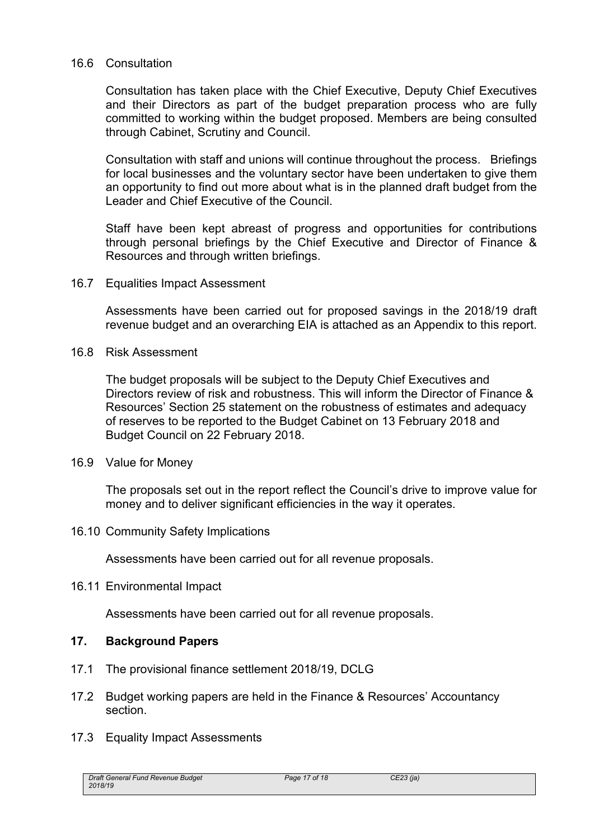#### 16.6 Consultation

Consultation has taken place with the Chief Executive, Deputy Chief Executives and their Directors as part of the budget preparation process who are fully committed to working within the budget proposed. Members are being consulted through Cabinet, Scrutiny and Council.

Consultation with staff and unions will continue throughout the process. Briefings for local businesses and the voluntary sector have been undertaken to give them an opportunity to find out more about what is in the planned draft budget from the Leader and Chief Executive of the Council.

Staff have been kept abreast of progress and opportunities for contributions through personal briefings by the Chief Executive and Director of Finance & Resources and through written briefings.

16.7 Equalities Impact Assessment

Assessments have been carried out for proposed savings in the 2018/19 draft revenue budget and an overarching EIA is attached as an Appendix to this report.

16.8 Risk Assessment

The budget proposals will be subject to the Deputy Chief Executives and Directors review of risk and robustness. This will inform the Director of Finance & Resources' Section 25 statement on the robustness of estimates and adequacy of reserves to be reported to the Budget Cabinet on 13 February 2018 and Budget Council on 22 February 2018.

16.9 Value for Money

The proposals set out in the report reflect the Council's drive to improve value for money and to deliver significant efficiencies in the way it operates.

16.10 Community Safety Implications

Assessments have been carried out for all revenue proposals.

16.11 Environmental Impact

Assessments have been carried out for all revenue proposals.

#### **17. Background Papers**

- 17.1 The provisional finance settlement 2018/19, DCLG
- 17.2 Budget working papers are held in the Finance & Resources' Accountancy section.
- 17.3 Equality Impact Assessments